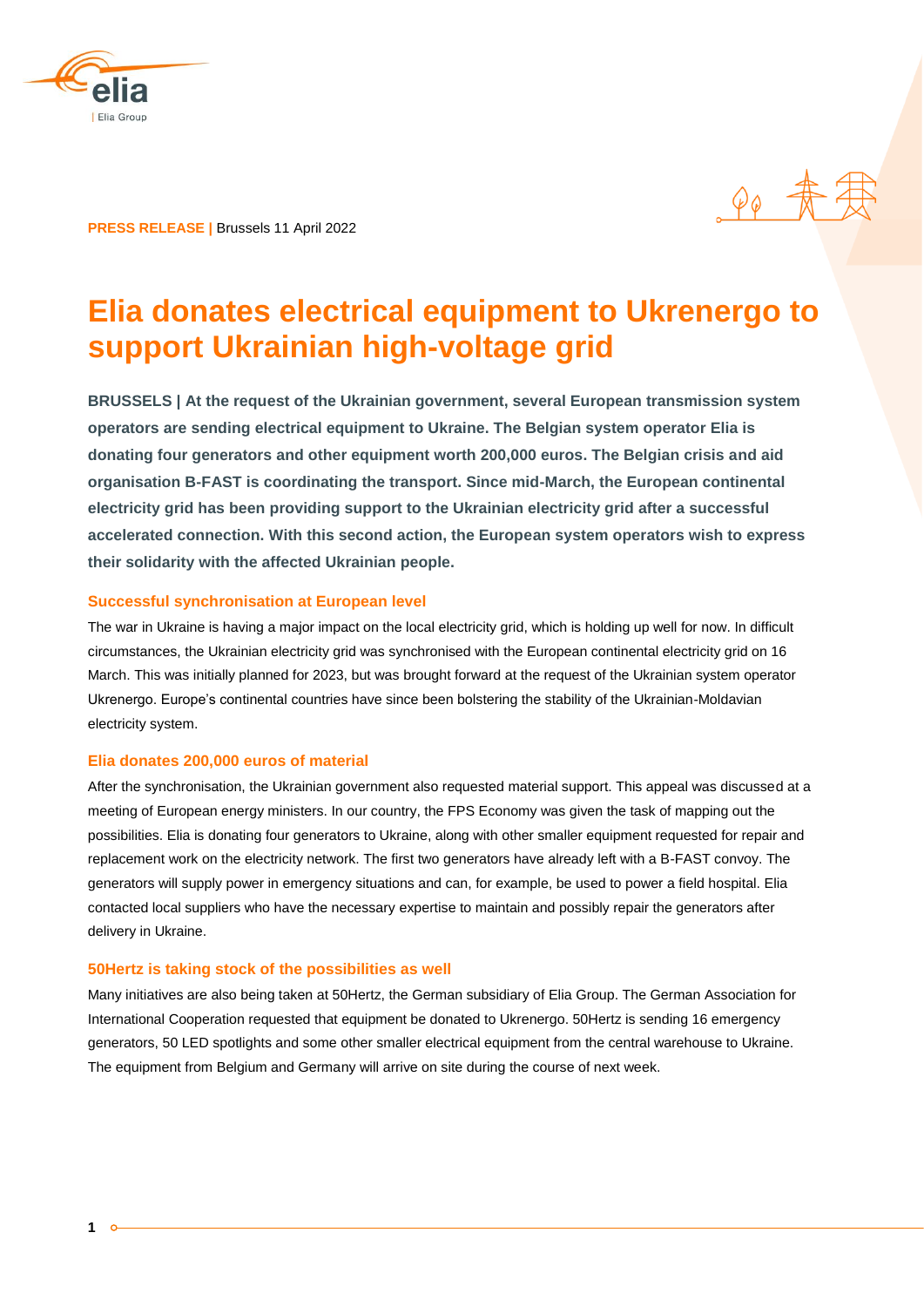

**PRESS RELEASE |** Brussels 11 April 2022

 $\rho_{\theta}$   $\frac{1}{\Lambda}$ 

# **Elia donates electrical equipment to Ukrenergo to support Ukrainian high-voltage grid**

**BRUSSELS | At the request of the Ukrainian government, several European transmission system operators are sending electrical equipment to Ukraine. The Belgian system operator Elia is donating four generators and other equipment worth 200,000 euros. The Belgian crisis and aid organisation B-FAST is coordinating the transport. Since mid-March, the European continental electricity grid has been providing support to the Ukrainian electricity grid after a successful accelerated connection. With this second action, the European system operators wish to express their solidarity with the affected Ukrainian people.** 

### **Successful synchronisation at European level**

The war in Ukraine is having a major impact on the local electricity grid, which is holding up well for now. In difficult circumstances, the Ukrainian electricity grid was synchronised with the European continental electricity grid on 16 March. This was initially planned for 2023, but was brought forward at the request of the Ukrainian system operator Ukrenergo. Europe's continental countries have since been bolstering the stability of the Ukrainian-Moldavian electricity system.

### **Elia donates 200,000 euros of material**

After the synchronisation, the Ukrainian government also requested material support. This appeal was discussed at a meeting of European energy ministers. In our country, the FPS Economy was given the task of mapping out the possibilities. Elia is donating four generators to Ukraine, along with other smaller equipment requested for repair and replacement work on the electricity network. The first two generators have already left with a B-FAST convoy. The generators will supply power in emergency situations and can, for example, be used to power a field hospital. Elia contacted local suppliers who have the necessary expertise to maintain and possibly repair the generators after delivery in Ukraine.

### **50Hertz is taking stock of the possibilities as well**

Many initiatives are also being taken at 50Hertz, the German subsidiary of Elia Group. The German Association for International Cooperation requested that equipment be donated to Ukrenergo. 50Hertz is sending 16 emergency generators, 50 LED spotlights and some other smaller electrical equipment from the central warehouse to Ukraine. The equipment from Belgium and Germany will arrive on site during the course of next week.